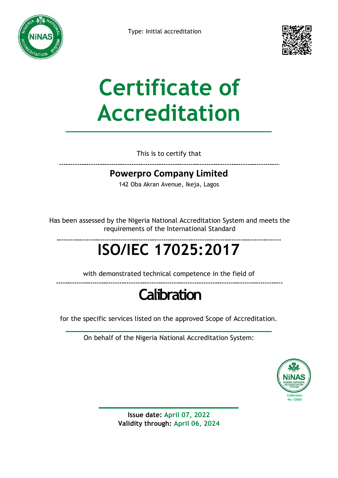



# **Certificate of Accreditation**

This is to certify that

### **Powerpro Company Limited**

142 Oba Akran Avenue, Ikeja, Lagos

Has been assessed by the Nigeria National Accreditation System and meets the requirements of the International Standard

## **ISO/IEC 17025:2017**

with demonstrated technical competence in the field of

### **Calibration**

for the specific services listed on the approved Scope of Accreditation.

On behalf of the Nigeria National Accreditation System:



**Issue date: April 07, 2022 Validity through: April 06, 2024**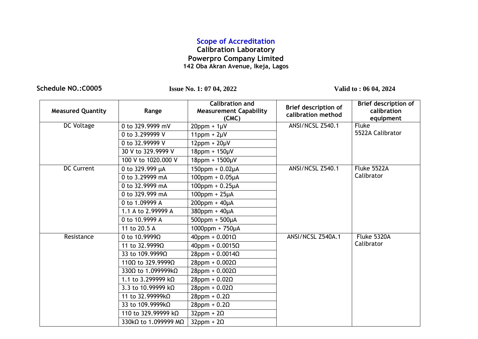### **Scope of Accreditation**

#### **Calibration Laboratory Powerpro Company Limited 142 Oba Akran Avenue, Ikeja, Lagos**

**Schedule NO.:C0005 Issue No. 1: 07 04, 2022 Valid to : 06 04, 2024**

| <b>Measured Quantity</b> | Range                              | <b>Calibration and</b><br><b>Measurement Capability</b><br>(CMC) | <b>Brief description of</b><br>calibration method | <b>Brief description of</b><br>calibration<br>equipment |
|--------------------------|------------------------------------|------------------------------------------------------------------|---------------------------------------------------|---------------------------------------------------------|
| DC Voltage               | 0 to 329.9999 mV                   | $20$ ppm + $1 \mu V$                                             | ANSI/NCSL Z540.1                                  | <b>Fluke</b>                                            |
|                          | 0 to 3.299999 V                    | $11$ ppm + $2\mu$ V                                              |                                                   | 5522A Calibrator                                        |
|                          | 0 to 32,99999 V                    | $12$ ppm + $20\mu V$                                             |                                                   |                                                         |
|                          | 30 V to 329.9999 V                 | $18$ ppm + $150 \mu V$                                           |                                                   |                                                         |
|                          | 100 V to 1020,000 V                | $18$ ppm + $1500 \mu V$                                          |                                                   |                                                         |
| <b>DC Current</b>        | 0 to 329.999 µA                    | $150$ ppm + 0.02µA                                               | ANSI/NCSL Z540.1                                  | Fluke 5522A                                             |
|                          | 0 to 3.29999 mA                    | $100$ ppm + 0.05µA                                               |                                                   | Calibrator                                              |
|                          | 0 to 32.9999 mA                    | $100$ ppm + 0.25 $\mu$ A                                         |                                                   |                                                         |
|                          | 0 to 329.999 mA                    | $100$ ppm + $25\mu$ A                                            |                                                   |                                                         |
|                          | 0 to 1.09999 A                     | $200$ ppm + $40\mu A$                                            |                                                   |                                                         |
|                          | 1.1 A to 2.99999 A                 | $380$ ppm + $40\mu$ A                                            |                                                   |                                                         |
|                          | 0 to 10.9999 A                     | $500$ ppm + $500\mu A$                                           |                                                   |                                                         |
|                          | 11 to 20.5 A                       | $1000$ ppm + 750 $\mu$ A                                         |                                                   |                                                         |
| Resistance               | 0 to $10.9999\Omega$               | $40$ ppm + 0.001 $\Omega$                                        | ANSI/NCSL Z540A.1                                 | Fluke 5320A                                             |
|                          | 11 to 32.9999Ω                     | $40$ ppm + 0.0015 $\Omega$                                       |                                                   | Calibrator                                              |
|                          | 33 to 109.9999Ω                    | $28$ ppm + 0.0014 $\Omega$                                       |                                                   |                                                         |
|                          | 110 $\Omega$ to 329.9999 $\Omega$  | $28$ ppm + 0.002 $\Omega$                                        |                                                   |                                                         |
|                          | 330 $\Omega$ to 1.099999k $\Omega$ | $28$ ppm + 0.002 $\Omega$                                        |                                                   |                                                         |
|                          | 1.1 to 3.299999 kΩ                 | $28$ ppm + 0.02 $\Omega$                                         |                                                   |                                                         |
|                          | 3.3 to 10.99999 k $\Omega$         | $28$ ppm + 0.02 $\Omega$                                         |                                                   |                                                         |
|                          | 11 to 32.99999kΩ                   | $28$ ppm + 0.2 $\Omega$                                          |                                                   |                                                         |
|                          | 33 to 109.9999kΩ                   | $28$ ppm + 0.2 $\Omega$                                          |                                                   |                                                         |
|                          | 110 to 329.99999 kΩ                | $32$ ppm + $2\Omega$                                             |                                                   |                                                         |
|                          | 330kΩ to 1.099999 MΩ               | $32$ ppm + $2\Omega$                                             |                                                   |                                                         |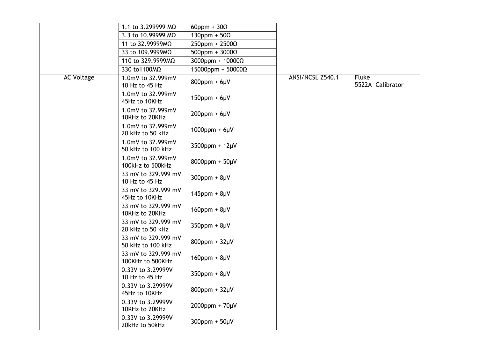|                   | 1.1 to 3.299999 MΩ                       | $60$ ppm + $30\Omega$       |                  |                                  |
|-------------------|------------------------------------------|-----------------------------|------------------|----------------------------------|
|                   | 3.3 to 10.99999 MΩ                       | $130$ ppm + $50\Omega$      |                  |                                  |
|                   | 11 to 32.99999MΩ                         | $250$ ppm + $2500\Omega$    |                  |                                  |
|                   | 33 to 109.9999MΩ                         | $500$ ppm + $3000\Omega$    |                  |                                  |
|                   | 110 to 329.9999MΩ                        | $3000$ ppm + $10000\Omega$  |                  |                                  |
|                   | 330 to1100MΩ                             | $15000$ ppm + $50000\Omega$ |                  |                                  |
| <b>AC Voltage</b> | 1.0mV to 32.999mV<br>10 Hz to 45 Hz      | $800$ ppm + $6\mu$ V        | ANSI/NCSL Z540.1 | <b>Fluke</b><br>5522A Calibrator |
|                   | 1.0mV to 32.999mV<br>45Hz to 10KHz       | $150$ ppm + $6\mu$ V        |                  |                                  |
|                   | 1.0mV to 32.999mV<br>10KHz to 20KHz      | $200$ ppm + $6\mu$ V        |                  |                                  |
|                   | 1.0mV to 32.999mV<br>20 kHz to 50 kHz    | $1000$ ppm + $6\mu$ V       |                  |                                  |
|                   | 1.0mV to 32.999mV<br>50 kHz to 100 kHz   | 3500ppm + 12µV              |                  |                                  |
|                   | 1.0mV to 32.999mV<br>100kHz to 500kHz    | $8000$ ppm + $50 \mu V$     |                  |                                  |
|                   | 33 mV to 329.999 mV<br>10 Hz to 45 Hz    | $300$ ppm + $8\mu$ V        |                  |                                  |
|                   | 33 mV to 329.999 mV<br>45Hz to 10KHz     | $145$ ppm + $8\mu$ V        |                  |                                  |
|                   | 33 mV to 329.999 mV<br>10KHz to 20KHz    | $160$ ppm + $8\mu$ V        |                  |                                  |
|                   | 33 mV to 329.999 mV<br>20 kHz to 50 kHz  | $350$ ppm + $8\mu$ V        |                  |                                  |
|                   | 33 mV to 329.999 mV<br>50 kHz to 100 kHz | $800$ ppm + $32\mu$ V       |                  |                                  |
|                   | 33 mV to 329.999 mV<br>100KHz to 500KHz  | $160$ ppm + $8\mu$ V        |                  |                                  |
|                   | 0.33V to 3.29999V<br>10 Hz to 45 Hz      | $350$ ppm + $8\mu$ V        |                  |                                  |
|                   | 0.33V to 3.29999V<br>45Hz to 10KHz       | $800$ ppm + $32\mu$ V       |                  |                                  |
|                   | 0.33V to 3.29999V<br>10KHz to 20KHz      | $2000$ ppm + $70 \mu V$     |                  |                                  |
|                   | 0.33V to 3.29999V<br>20kHz to 50kHz      | $300$ ppm + $50\mu$ V       |                  |                                  |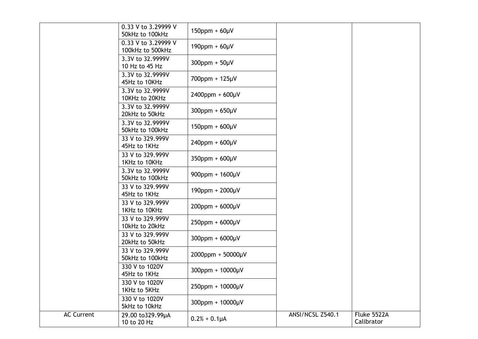|                   | 0.33 V to 3.29999 V<br>50kHz to 100kHz  | $150$ ppm + $60\mu$ V    |                  |                           |
|-------------------|-----------------------------------------|--------------------------|------------------|---------------------------|
|                   | 0.33 V to 3.29999 V<br>100kHz to 500kHz | $190$ ppm + $60 \mu V$   |                  |                           |
|                   | 3.3V to 32.9999V<br>10 Hz to 45 Hz      | $300$ ppm + $50\mu$ V    |                  |                           |
|                   | 3.3V to 32.9999V<br>45Hz to 10KHz       | 700ppm + 125µV           |                  |                           |
|                   | 3.3V to 32.9999V<br>10KHz to 20KHz      | $2400$ ppm + $600 \mu V$ |                  |                           |
|                   | 3.3V to 32.9999V<br>20kHz to 50kHz      | $300$ ppm + $650$ µV     |                  |                           |
|                   | 3.3V to 32.9999V<br>50kHz to 100kHz     | $150$ ppm + $600 \mu V$  |                  |                           |
|                   | 33 V to 329.999V<br>45Hz to 1KHz        | $240$ ppm + $600 \mu V$  |                  |                           |
|                   | 33 V to 329.999V<br>1KHz to 10KHz       | $350$ ppm + $600 \mu V$  |                  |                           |
|                   | 3.3V to 32.9999V<br>50kHz to 100kHz     | $900$ ppm + $1600$ µV    |                  |                           |
|                   | 33 V to 329.999V<br>45Hz to 1KHz        | 190ppm + 2000µV          |                  |                           |
|                   | 33 V to 329.999V<br>1KHz to 10KHz       | $200$ ppm + $6000 \mu V$ |                  |                           |
|                   | 33 V to 329.999V<br>10kHz to 20kHz      | 250ppm + 6000µV          |                  |                           |
|                   | 33 V to 329.999V<br>20kHz to 50kHz      | $300$ ppm + $6000 \mu V$ |                  |                           |
|                   | 33 V to 329,999V<br>50kHz to 100kHz     | $2000$ ppm + 50000µV     |                  |                           |
|                   | 330 V to 1020V<br>45Hz to 1KHz          | 300ppm + 10000µV         |                  |                           |
|                   | 330 V to 1020V<br>1KHz to 5KHz          | 250ppm + 10000µV         |                  |                           |
|                   | 330 V to 1020V<br>5kHz to 10kHz         | 300ppm + 10000µV         |                  |                           |
| <b>AC Current</b> | 29.00 to 329.99µA<br>10 to 20 Hz        | $0.2% + 0.1\muA$         | ANSI/NCSL Z540.1 | Fluke 5522A<br>Calibrator |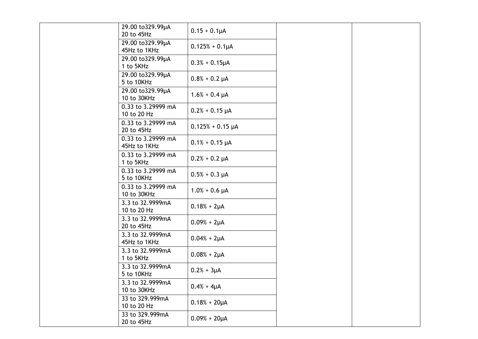| 29.00 to 329.99µA<br>20 to 45Hz    | $0.15 + 0.1 \mu A$    |  |
|------------------------------------|-----------------------|--|
| 29.00 to 329.99µA<br>45Hz to 1KHz  | $0.125% + 0.1 \mu A$  |  |
| 29.00 to 329.99µA<br>1 to 5KHz     | $0.3% + 0.15 \mu A$   |  |
| 29.00 to 329.99µA<br>5 to 10KHz    | $0.8% + 0.2 \mu A$    |  |
| 29.00 to 329.99µA<br>10 to 30KHz   | $1.6% + 0.4 \mu A$    |  |
| 0.33 to 3.29999 mA<br>10 to 20 Hz  | $0.2% + 0.15 \mu A$   |  |
| 0.33 to 3.29999 mA<br>20 to 45Hz   | $0.125% + 0.15 \mu A$ |  |
| 0.33 to 3.29999 mA<br>45Hz to 1KHz | $0.1\% + 0.15 \mu A$  |  |
| 0.33 to 3.29999 mA<br>1 to 5KHz    | $0.2% + 0.2 \mu A$    |  |
| 0.33 to 3.29999 mA<br>5 to 10KHz   | $0.5% + 0.3 \mu A$    |  |
| 0.33 to 3.29999 mA<br>10 to 30KHz  | $1.0% + 0.6 \mu A$    |  |
| 3.3 to 32.9999mA<br>10 to 20 Hz    | $0.18% + 2\mu A$      |  |
| 3.3 to 32.9999mA<br>20 to 45Hz     | $0.09% + 2\mu A$      |  |
| 3.3 to 32.9999mA<br>45Hz to 1KHz   | $0.04% + 2\mu A$      |  |
| 3.3 to 32.9999mA<br>1 to 5KHz      | $0.08% + 2\mu A$      |  |
| 3.3 to 32.9999mA<br>5 to 10KHz     | $0.2% + 3\mu A$       |  |
| 3.3 to 32.9999mA<br>10 to 30KHz    | $0.4% + 4\muA$        |  |
| 33 to 329.999mA<br>10 to 20 Hz     | $0.18% + 20 \mu A$    |  |
| 33 to 329.999mA<br>20 to 45Hz      | $0.09% + 20 \mu A$    |  |
|                                    |                       |  |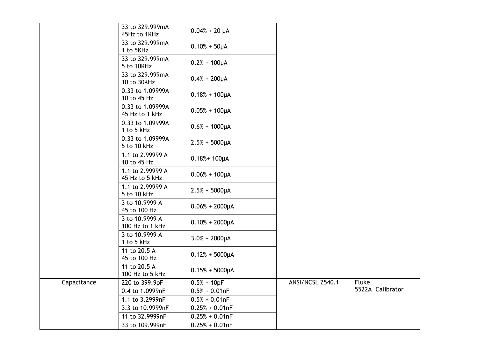|             | 33 to 329.999mA<br>45Hz to 1KHz    | $0.04% + 20 \mu A$  |                  |                  |
|-------------|------------------------------------|---------------------|------------------|------------------|
|             | 33 to 329.999mA<br>1 to 5KHz       | $0.10% + 50\mu A$   |                  |                  |
|             | 33 to 329.999mA<br>5 to 10KHz      | $0.2% + 100 \mu A$  |                  |                  |
|             | 33 to 329.999mA<br>10 to 30KHz     | $0.4% + 200 \mu A$  |                  |                  |
|             | 0.33 to 1.09999A<br>10 to 45 Hz    | $0.18% + 100 \mu A$ |                  |                  |
|             | 0.33 to 1.09999A<br>45 Hz to 1 kHz | $0.05% + 100 \mu A$ |                  |                  |
|             | 0.33 to 1.09999A<br>1 to 5 kHz     | $0.6% + 1000\mu A$  |                  |                  |
|             | 0.33 to 1.09999A<br>5 to 10 kHz    | $2.5% + 5000\mu A$  |                  |                  |
|             | 1.1 to 2.99999 A<br>10 to 45 Hz    | $0.18% + 100 \mu A$ |                  |                  |
|             | 1.1 to 2.99999 A<br>45 Hz to 5 kHz | $0.06% + 100 \mu A$ |                  |                  |
|             | 1.1 to 2.99999 A<br>5 to 10 kHz    | $2.5% + 5000\mu A$  |                  |                  |
|             | 3 to 10.9999 A<br>45 to 100 Hz     | $0.06% + 2000\mu A$ |                  |                  |
|             | 3 to 10.9999 A<br>100 Hz to 1 kHz  | $0.10% + 2000\mu A$ |                  |                  |
|             | 3 to 10.9999 A<br>1 to 5 kHz       | $3.0% + 2000 \mu A$ |                  |                  |
|             | 11 to 20.5 A<br>45 to 100 Hz       | $0.12% + 5000\mu A$ |                  |                  |
|             | 11 to 20.5 A<br>100 Hz to 5 kHz    | $0.15% + 5000\mu A$ |                  |                  |
| Capacitance | 220 to 399.9pF                     | $0.5% + 10pF$       | ANSI/NCSL Z540.1 | <b>Fluke</b>     |
|             | 0.4 to 1.0999nF                    | $0.5% + 0.01nF$     |                  | 5522A Calibrator |
|             | 1.1 to 3.2999nF                    | $0.5% + 0.01nF$     |                  |                  |
|             | 3.3 to 10.9999nF                   | $0.25% + 0.01nF$    |                  |                  |
|             | 11 to 32.9999nF                    | $0.25% + 0.01nF$    |                  |                  |
|             | 33 to 109.999nF                    | $0.25% + 0.01nF$    |                  |                  |